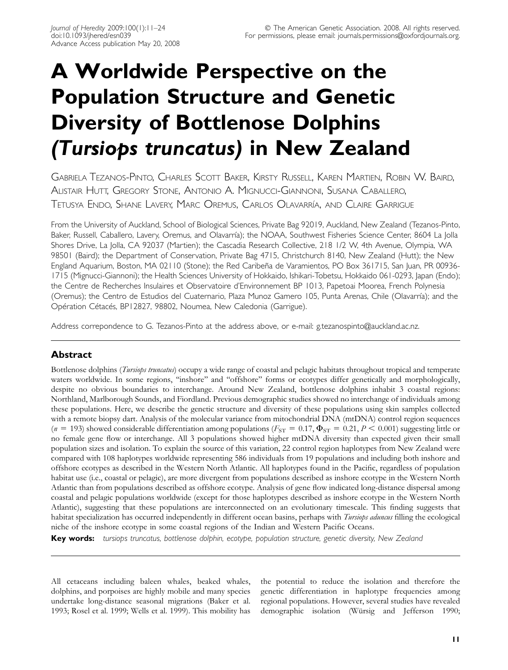# A Worldwide Perspective on the Population Structure and Genetic Diversity of Bottlenose Dolphins (Tursiops truncatus) in New Zealand

GABRIELA TEZANOS-PINTO, CHARLES SCOTT BAKER, KIRSTY RUSSELL, KAREN MARTIEN, ROBIN W. BAIRD, ALISTAIR HUTT, GREGORY STONE, ANTONIO A. MIGNUCCI-GIANNONI, SUSANA CABALLERO, TETUSYA ENDO, SHANE LAVERY, MARC OREMUS, CARLOS OLAVARRI´A, AND CLAIRE GARRIGUE

From the University of Auckland, School of Biological Sciences, Private Bag 92019, Auckland, New Zealand (Tezanos-Pinto, Baker, Russell, Caballero, Lavery, Oremus, and Olavarría); the NOAA, Southwest Fisheries Science Center, 8604 La Jolla Shores Drive, La Jolla, CA 92037 (Martien); the Cascadia Research Collective, 218 1/2 W, 4th Avenue, Olympia, WA 98501 (Baird); the Department of Conservation, Private Bag 4715, Christchurch 8140, New Zealand (Hutt); the New England Aquarium, Boston, MA 02110 (Stone); the Red Caribeña de Varamientos, PO Box 361715, San Juan, PR 00936-1715 (Mignucci-Giannoni); the Health Sciences University of Hokkaido, Ishikari-Tobetsu, Hokkaido 061-0293, Japan (Endo); the Centre de Recherches Insulaires et Observatoire d'Environnement BP 1013, Papetoai Moorea, French Polynesia (Oremus); the Centro de Estudios del Cuaternario, Plaza Munoz Gamero 105, Punta Arenas, Chile (Olavarría); and the Opération Cétacés, BP12827, 98802, Noumea, New Caledonia (Garrigue).

Address correpondence to G. Tezanos-Pinto at the address above, or e-mail: g.tezanospinto@auckland.ac.nz.

# Abstract

Bottlenose dolphins (*Tursiops truncatus*) occupy a wide range of coastal and pelagic habitats throughout tropical and temperate waters worldwide. In some regions, ''inshore'' and ''offshore'' forms or ecotypes differ genetically and morphologically, despite no obvious boundaries to interchange. Around New Zealand, bottlenose dolphins inhabit 3 coastal regions: Northland, Marlborough Sounds, and Fiordland. Previous demographic studies showed no interchange of individuals among these populations. Here, we describe the genetic structure and diversity of these populations using skin samples collected with a remote biopsy dart. Analysis of the molecular variance from mitochondrial DNA (mtDNA) control region sequences  $(n = 193)$  showed considerable differentiation among populations ( $F_{ST} = 0.17$ ,  $\Phi_{ST} = 0.21$ ,  $P < 0.001$ ) suggesting little or no female gene flow or interchange. All 3 populations showed higher mtDNA diversity than expected given their small population sizes and isolation. To explain the source of this variation, 22 control region haplotypes from New Zealand were compared with 108 haplotypes worldwide representing 586 individuals from 19 populations and including both inshore and offshore ecotypes as described in the Western North Atlantic. All haplotypes found in the Pacific, regardless of population habitat use (i.e., coastal or pelagic), are more divergent from populations described as inshore ecotype in the Western North Atlantic than from populations described as offshore ecotype. Analysis of gene flow indicated long-distance dispersal among coastal and pelagic populations worldwide (except for those haplotypes described as inshore ecotype in the Western North Atlantic), suggesting that these populations are interconnected on an evolutionary timescale. This finding suggests that habitat specialization has occurred independently in different ocean basins, perhaps with *Tursiops aduncus* filling the ecological niche of the inshore ecotype in some coastal regions of the Indian and Western Pacific Oceans.

Key words: tursiops truncatus, bottlenose dolphin, ecotype, population structure, genetic diversity, New Zealand

All cetaceans including baleen whales, beaked whales, dolphins, and porpoises are highly mobile and many species undertake long-distance seasonal migrations (Baker et al. 1993; Rosel et al. 1999; Wells et al. 1999). This mobility has the potential to reduce the isolation and therefore the genetic differentiation in haplotype frequencies among regional populations. However, several studies have revealed demographic isolation (Würsig and Jefferson 1990;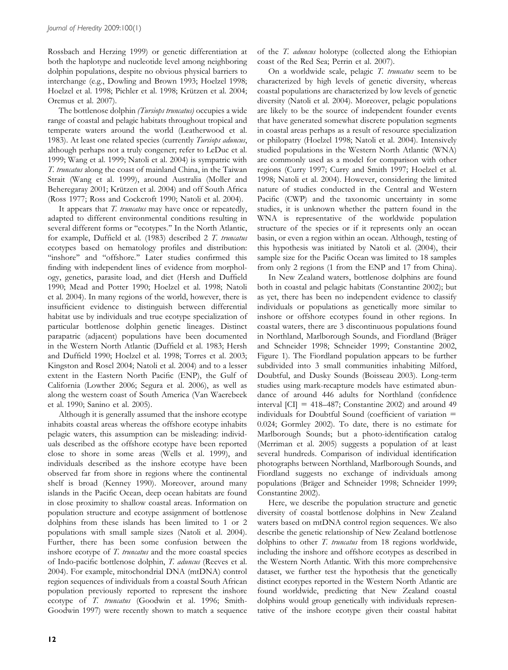Rossbach and Herzing 1999) or genetic differentiation at both the haplotype and nucleotide level among neighboring dolphin populations, despite no obvious physical barriers to interchange (e.g., Dowling and Brown 1993; Hoelzel 1998; Hoelzel et al. 1998; Pichler et al. 1998; Krützen et al. 2004; Oremus et al. 2007).

The bottlenose dolphin (Tursiops truncatus) occupies a wide range of coastal and pelagic habitats throughout tropical and temperate waters around the world (Leatherwood et al. 1983). At least one related species (currently Tursiops aduncus, although perhaps not a truly congener; refer to LeDuc et al. 1999; Wang et al. 1999; Natoli et al. 2004) is sympatric with T. truncatus along the coast of mainland China, in the Taiwan Strait (Wang et al. 1999), around Australia (Moller and Beheregaray 2001; Krützen et al. 2004) and off South Africa (Ross 1977; Ross and Cockcroft 1990; Natoli et al. 2004).

It appears that T. truncatus may have once or repeatedly, adapted to different environmental conditions resulting in several different forms or "ecotypes." In the North Atlantic, for example, Duffield et al. (1983) described 2 T. truncatus ecotypes based on hematology profiles and distribution: "inshore" and "offshore." Later studies confirmed this finding with independent lines of evidence from morphology, genetics, parasite load, and diet (Hersh and Duffield 1990; Mead and Potter 1990; Hoelzel et al. 1998; Natoli et al. 2004). In many regions of the world, however, there is insufficient evidence to distinguish between differential habitat use by individuals and true ecotype specialization of particular bottlenose dolphin genetic lineages. Distinct parapatric (adjacent) populations have been documented in the Western North Atlantic (Duffield et al. 1983; Hersh and Duffield 1990; Hoelzel et al. 1998; Torres et al. 2003; Kingston and Rosel 2004; Natoli et al. 2004) and to a lesser extent in the Eastern North Pacific (ENP), the Gulf of California (Lowther 2006; Segura et al. 2006), as well as along the western coast of South America (Van Waerebeek et al. 1990; Sanino et al. 2005).

Although it is generally assumed that the inshore ecotype inhabits coastal areas whereas the offshore ecotype inhabits pelagic waters, this assumption can be misleading: individuals described as the offshore ecotype have been reported close to shore in some areas (Wells et al. 1999), and individuals described as the inshore ecotype have been observed far from shore in regions where the continental shelf is broad (Kenney 1990). Moreover, around many islands in the Pacific Ocean, deep ocean habitats are found in close proximity to shallow coastal areas. Information on population structure and ecotype assignment of bottlenose dolphins from these islands has been limited to 1 or 2 populations with small sample sizes (Natoli et al. 2004). Further, there has been some confusion between the inshore ecotype of T. truncatus and the more coastal species of Indo-pacific bottlenose dolphin, T. aduncus (Reeves et al. 2004). For example, mitochondrial DNA (mtDNA) control region sequences of individuals from a coastal South African population previously reported to represent the inshore ecotype of T. truncatus (Goodwin et al. 1996; Smith-Goodwin 1997) were recently shown to match a sequence

of the T. aduncus holotype (collected along the Ethiopian coast of the Red Sea; Perrin et al. 2007).

On a worldwide scale, pelagic T. truncatus seem to be characterized by high levels of genetic diversity, whereas coastal populations are characterized by low levels of genetic diversity (Natoli et al. 2004). Moreover, pelagic populations are likely to be the source of independent founder events that have generated somewhat discrete population segments in coastal areas perhaps as a result of resource specialization or philopatry (Hoelzel 1998; Natoli et al. 2004). Intensively studied populations in the Western North Atlantic (WNA) are commonly used as a model for comparison with other regions (Curry 1997; Curry and Smith 1997; Hoelzel et al. 1998; Natoli et al. 2004). However, considering the limited nature of studies conducted in the Central and Western Pacific (CWP) and the taxonomic uncertainty in some studies, it is unknown whether the pattern found in the WNA is representative of the worldwide population structure of the species or if it represents only an ocean basin, or even a region within an ocean. Although, testing of this hypothesis was initiated by Natoli et al. (2004), their sample size for the Pacific Ocean was limited to 18 samples from only 2 regions (1 from the ENP and 17 from China).

In New Zealand waters, bottlenose dolphins are found both in coastal and pelagic habitats (Constantine 2002); but as yet, there has been no independent evidence to classify individuals or populations as genetically more similar to inshore or offshore ecotypes found in other regions. In coastal waters, there are 3 discontinuous populations found in Northland, Marlborough Sounds, and Fiordland (Bräger and Schneider 1998; Schneider 1999; Constantine 2002, Figure 1). The Fiordland population appears to be further subdivided into 3 small communities inhabiting Milford, Doubtful, and Dusky Sounds (Boisseau 2003). Long-term studies using mark-recapture models have estimated abundance of around 446 adults for Northland (confidence interval  $|CI| = 418-487$ ; Constantine 2002) and around 49 individuals for Doubtful Sound (coefficient of variation  $=$ 0.024; Gormley 2002). To date, there is no estimate for Marlborough Sounds; but a photo-identification catalog (Merriman et al. 2005) suggests a population of at least several hundreds. Comparison of individual identification photographs between Northland, Marlborough Sounds, and Fiordland suggests no exchange of individuals among populations (Bräger and Schneider 1998; Schneider 1999; Constantine 2002).

Here, we describe the population structure and genetic diversity of coastal bottlenose dolphins in New Zealand waters based on mtDNA control region sequences. We also describe the genetic relationship of New Zealand bottlenose dolphins to other T. truncatus from 18 regions worldwide, including the inshore and offshore ecotypes as described in the Western North Atlantic. With this more comprehensive dataset, we further test the hypothesis that the genetically distinct ecotypes reported in the Western North Atlantic are found worldwide, predicting that New Zealand coastal dolphins would group genetically with individuals representative of the inshore ecotype given their coastal habitat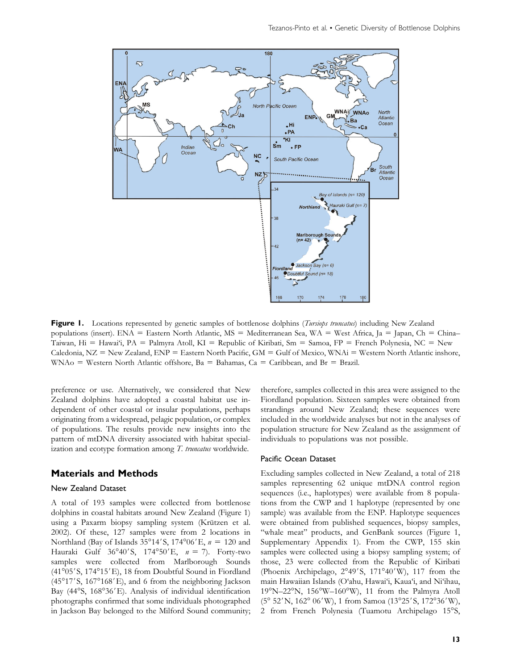

Figure 1. Locations represented by genetic samples of bottlenose dolphins (*Tursiops truncatus*) including New Zealand populations (insert). ENA = Eastern North Atlantic, MS = Mediterranean Sea, WA = West Africa, Ja = Japan, Ch = China– Taiwan, Hi = Hawai'i, PA = Palmyra Atoll, KI = Republic of Kiribati, Sm = Samoa, FP = French Polynesia, NC = New Caledonia, NZ = New Zealand,  $END =$  Eastern North Pacific, GM = Gulf of Mexico, WNAi = Western North Atlantic inshore, WNAo = Western North Atlantic offshore,  $Ba = Bahamas$ ,  $Ca = Caribbean$ , and  $Br = Brazil$ .

preference or use. Alternatively, we considered that New Zealand dolphins have adopted a coastal habitat use independent of other coastal or insular populations, perhaps originating from a widespread, pelagic population, or complex of populations. The results provide new insights into the pattern of mtDNA diversity associated with habitat specialization and ecotype formation among T. truncatus worldwide.

# Materials and Methods

#### New Zealand Dataset

A total of 193 samples were collected from bottlenose dolphins in coastal habitats around New Zealand (Figure 1) using a Paxarm biopsy sampling system (Krützen et al. 2002). Of these, 127 samples were from 2 locations in Northland (Bay of Islands  $35^{\circ}14'$ S, 174°06'E,  $n = 120$  and Hauraki Gulf  $36^{\circ}40'$ S,  $174^{\circ}50'E$ ,  $n = 7$ ). Forty-two samples were collected from Marlborough Sounds (41°05'S, 174°15'E), 18 from Doubtful Sound in Fiordland (45°17'S, 167°168'E), and 6 from the neighboring Jackson Bay (44°S, 168°36'E). Analysis of individual identification photographs confirmed that some individuals photographed in Jackson Bay belonged to the Milford Sound community; therefore, samples collected in this area were assigned to the Fiordland population. Sixteen samples were obtained from strandings around New Zealand; these sequences were included in the worldwide analyses but not in the analyses of population structure for New Zealand as the assignment of individuals to populations was not possible.

#### Pacific Ocean Dataset

Excluding samples collected in New Zealand, a total of 218 samples representing 62 unique mtDNA control region sequences (i.e., haplotypes) were available from 8 populations from the CWP and 1 haplotype (represented by one sample) was available from the ENP. Haplotype sequences were obtained from published sequences, biopsy samples, "whale meat" products, and GenBank sources (Figure 1, Supplementary Appendix 1). From the CWP, 155 skin samples were collected using a biopsy sampling system; of those, 23 were collected from the Republic of Kiribati (Phoenix Archipelago, 2°49'S, 171°40'W), 117 from the main Hawaiian Islands (O'ahu, Hawai'i, Kaua'i, and Ni'ihau, 19°N-22°N, 156°W-160°W), 11 from the Palmyra Atoll (5° 52'N, 162° 06'W), 1 from Samoa (13°25'S, 172°36'W), 2 from French Polynesia (Tuamotu Archipelago 15°S,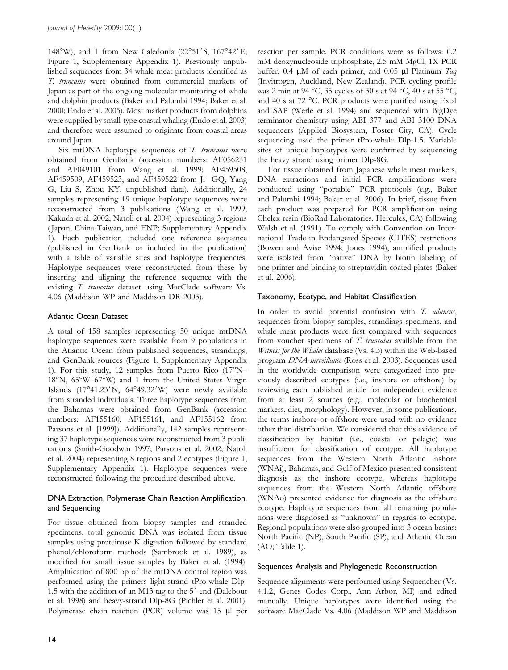148°W), and 1 from New Caledonia (22°51'S, 167°42'E; Figure 1, Supplementary Appendix 1). Previously unpublished sequences from 34 whale meat products identified as T. truncatus were obtained from commercial markets of Japan as part of the ongoing molecular monitoring of whale and dolphin products (Baker and Palumbi 1994; Baker et al. 2000; Endo et al. 2005). Most market products from dolphins were supplied by small-type coastal whaling (Endo et al. 2003) and therefore were assumed to originate from coastal areas around Japan.

Six mtDNA haplotype sequences of T. truncatus were obtained from GenBank (accession numbers: AF056231 and AF049101 from Wang et al. 1999; AF459508, AF459509, AF459523, and AF459522 from Ji GQ, Yang G, Liu S, Zhou KY, unpublished data). Additionally, 24 samples representing 19 unique haplotype sequences were reconstructed from 3 publications (Wang et al. 1999; Kakuda et al. 2002; Natoli et al. 2004) representing 3 regions ( Japan, China-Taiwan, and ENP; Supplementary Appendix 1). Each publication included one reference sequence (published in GenBank or included in the publication) with a table of variable sites and haplotype frequencies. Haplotype sequences were reconstructed from these by inserting and aligning the reference sequence with the existing T. truncatus dataset using MacClade software Vs. 4.06 (Maddison WP and Maddison DR 2003).

# Atlantic Ocean Dataset

A total of 158 samples representing 50 unique mtDNA haplotype sequences were available from 9 populations in the Atlantic Ocean from published sequences, strandings, and GenBank sources (Figure 1, Supplementary Appendix 1). For this study, 12 samples from Puerto Rico (17°N-18°N, 65°W-67°W) and 1 from the United States Virgin Islands (17°41.23'N, 64°49.32'W) were newly available from stranded individuals. Three haplotype sequences from the Bahamas were obtained from GenBank (accession numbers: AF155160, AF155161, and AF155162 from Parsons et al. [1999]). Additionally, 142 samples representing 37 haplotype sequences were reconstructed from 3 publications (Smith-Goodwin 1997; Parsons et al. 2002; Natoli et al. 2004) representing 8 regions and 2 ecotypes (Figure 1, Supplementary Appendix 1). Haplotype sequences were reconstructed following the procedure described above.

# DNA Extraction, Polymerase Chain Reaction Amplification, and Sequencing

For tissue obtained from biopsy samples and stranded specimens, total genomic DNA was isolated from tissue samples using proteinase K digestion followed by standard phenol/chloroform methods (Sambrook et al. 1989), as modified for small tissue samples by Baker et al. (1994). Amplification of 800 bp of the mtDNA control region was performed using the primers light-strand tPro-whale Dlp-1.5 with the addition of an M13 tag to the  $5'$  end (Dalebout et al. 1998) and heavy-strand Dlp-8G (Pichler et al. 2001). Polymerase chain reaction (PCR) volume was 15 µl per

reaction per sample. PCR conditions were as follows: 0.2 mM deoxynucleoside triphosphate, 2.5 mM MgCl, 1X PCR buffer, 0.4  $\mu$ M of each primer, and 0.05  $\mu$ l Platinum Taq (Invitrogen, Auckland, New Zealand). PCR cycling profile was 2 min at 94 °C, 35 cycles of 30 s at 94 °C, 40 s at 55 °C, and 40 s at 72 °C. PCR products were purified using ExoI and SAP (Werle et al. 1994) and sequenced with BigDye terminator chemistry using ABI 377 and ABI 3100 DNA sequencers (Applied Biosystem, Foster City, CA). Cycle sequencing used the primer tPro-whale Dlp-1.5. Variable sites of unique haplotypes were confirmed by sequencing the heavy strand using primer Dlp-8G.

For tissue obtained from Japanese whale meat markets, DNA extractions and initial PCR amplifications were conducted using ''portable'' PCR protocols (e.g., Baker and Palumbi 1994; Baker et al. 2006). In brief, tissue from each product was prepared for PCR amplification using Chelex resin (BioRad Laboratories, Hercules, CA) following Walsh et al. (1991). To comply with Convention on International Trade in Endangered Species (CITES) restrictions (Bowen and Avise 1994; Jones 1994), amplified products were isolated from ''native'' DNA by biotin labeling of one primer and binding to streptavidin-coated plates (Baker et al. 2006).

# Taxonomy, Ecotype, and Habitat Classification

In order to avoid potential confusion with T. aduncus, sequences from biopsy samples, strandings specimens, and whale meat products were first compared with sequences from voucher specimens of T. truncatus available from the Witness for the Whales database (Vs. 4.3) within the Web-based program DNA-surveillance (Ross et al. 2003). Sequences used in the worldwide comparison were categorized into previously described ecotypes (i.e., inshore or offshore) by reviewing each published article for independent evidence from at least 2 sources (e.g., molecular or biochemical markers, diet, morphology). However, in some publications, the terms inshore or offshore were used with no evidence other than distribution. We considered that this evidence of classification by habitat (i.e., coastal or pelagic) was insufficient for classification of ecotype. All haplotype sequences from the Western North Atlantic inshore (WNAi), Bahamas, and Gulf of Mexico presented consistent diagnosis as the inshore ecotype, whereas haplotype sequences from the Western North Atlantic offshore (WNAo) presented evidence for diagnosis as the offshore ecotype. Haplotype sequences from all remaining populations were diagnosed as ''unknown'' in regards to ecotype. Regional populations were also grouped into 3 ocean basins: North Pacific (NP), South Pacific (SP), and Atlantic Ocean (AO; Table 1).

## Sequences Analysis and Phylogenetic Reconstruction

Sequence alignments were performed using Sequencher (Vs. 4.1.2, Genes Codes Corp., Ann Arbor, MI) and edited manually. Unique haplotypes were identified using the software MacClade Vs. 4.06 (Maddison WP and Maddison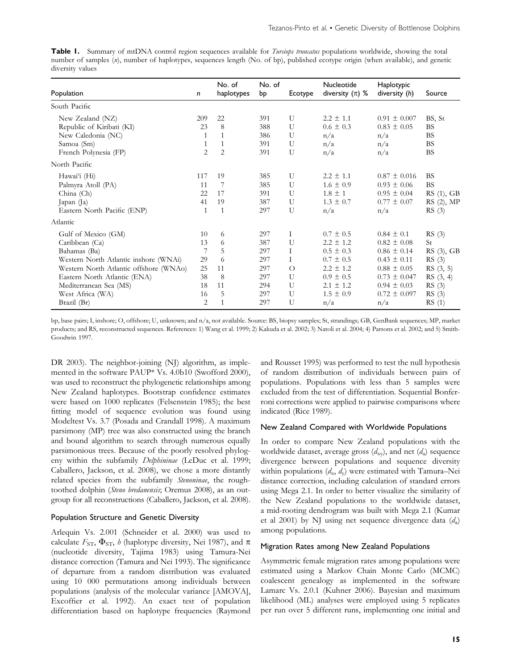Table 1. Summary of mtDNA control region sequences available for *Tursiops truncatus* populations worldwide, showing the total number of samples (n), number of haplotypes, sequences length (No. of bp), published ecotype origin (when available), and genetic diversity values

| Population                             | $\mathsf{n}$   | No. of<br>haplotypes | No. of<br>bp | Ecotype | Nucleotide<br>diversity $(\pi)$ % | Haplotypic<br>diversity (h) | Source     |
|----------------------------------------|----------------|----------------------|--------------|---------|-----------------------------------|-----------------------------|------------|
| South Pacific                          |                |                      |              |         |                                   |                             |            |
| New Zealand (NZ)                       | 209            | 22                   | 391          | U       | $2.2 \pm 1.1$                     | $0.91 \pm 0.007$            | BS, St     |
| Republic of Kiribati (KI)              | 23             | 8                    | 388          | U       | $0.6 \pm 0.3$                     | $0.83 \pm 0.05$             | <b>BS</b>  |
| New Caledonia (NC)                     | 1              |                      | 386          | U       | n/a                               | n/a                         | <b>BS</b>  |
| Samoa (Sm)                             | 1              | 1                    | 391          | U       | n/a                               | n/a                         | <b>BS</b>  |
| French Polynesia (FP)                  | $\overline{2}$ | $\overline{2}$       | 391          | U       | n/a                               | n/a                         | <b>BS</b>  |
| North Pacific                          |                |                      |              |         |                                   |                             |            |
| Hawai'i (Hi)                           | 117            | 19                   | 385          | U       | $2.2 \pm 1.1$                     | $0.87 \pm 0.016$            | <b>BS</b>  |
| Palmyra Atoll (PA)                     | 11             | 7                    | 385          | U       | $1.6 \pm 0.9$                     | $0.93 \pm 0.06$             | <b>BS</b>  |
| China (Ch)                             | 22             | 17                   | 391          | U       | $1.8 \pm 1$                       | $0.95 \pm 0.04$             | RS (1), GB |
| Japan (Ja)                             | 41             | 19                   | 387          | U       | $1.3 \pm 0.7$                     | $0.77 \pm 0.07$             | RS (2), MP |
| Eastern North Pacific (ENP)            | 1              | 1                    | 297          | U       | n/a                               | n/a                         | RS(3)      |
| Atlantic                               |                |                      |              |         |                                   |                             |            |
| Gulf of Mexico (GM)                    | 10             | 6                    | 297          | Ι       | $0.7 \pm 0.5$                     | $0.84 \pm 0.1$              | RS(3)      |
| Caribbean (Ca)                         | 13             | 6                    | 387          | U       | $2.2 \pm 1.2$                     | $0.82 \pm 0.08$             | St         |
| Bahamas (Ba)                           | 7              | 5                    | 297          | Ι       | $0.5 \pm 0.3$                     | $0.86 \pm 0.14$             | RS (3), GB |
| Western North Atlantic inshore (WNAi)  | 29             | 6                    | 297          | T       | $0.7 \pm 0.5$                     | $0.43 \pm 0.11$             | RS(3)      |
| Western North Atlantic offshore (WNAo) | 25             | 11                   | 297          | $\circ$ | $2.2 \pm 1.2$                     | $0.88 \pm 0.05$             | RS(3, 5)   |
| Eastern North Atlantic (ENA)           | 38             | 8                    | 297          | U       | $0.9 \pm 0.5$                     | $0.73 \pm 0.047$            | RS (3, 4)  |
| Mediterranean Sea (MS)                 | 18             | 11                   | 294          | U       | $2.1 \pm 1.2$                     | $0.94 \pm 0.03$             | RS(3)      |
| West Africa (WA)                       | 16             | 5                    | 297          | U       | $1.5 \pm 0.9$                     | $0.72 \pm 0.097$            | RS(3)      |
| Brazil (Br)                            | 2              |                      | 297          | U       | n/a                               | n/a                         | RS(1)      |

bp, base pairs; I, inshore; O, offshore; U, unknown; and n/a, not available. Source: BS, biopsy samples; St, strandings; GB, GenBank sequences; MP, market products; and RS, reconstructed sequences. References: 1) Wang et al. 1999; 2) Kakuda et al. 2002; 3) Natoli et al. 2004; 4) Parsons et al. 2002; and 5) Smith-Goodwin 1997.

DR 2003). The neighbor-joining (NJ) algorithm, as implemented in the software PAUP\* Vs. 4.0b10 (Swofford 2000), was used to reconstruct the phylogenetic relationships among New Zealand haplotypes. Bootstrap confidence estimates were based on 1000 replicates (Felsenstein 1985); the best fitting model of sequence evolution was found using Modeltest Vs. 3.7 (Posada and Crandall 1998). A maximum parsimony (MP) tree was also constructed using the branch and bound algorithm to search through numerous equally parsimonious trees. Because of the poorly resolved phylogeny within the subfamily Delphininae (LeDuc et al. 1999; Caballero, Jackson, et al. 2008), we chose a more distantly related species from the subfamily Stenoninae, the roughtoothed dolphin (Steno bredanensis; Oremus 2008), as an outgroup for all reconstructions (Caballero, Jackson, et al. 2008).

#### Population Structure and Genetic Diversity

Arlequin Vs. 2.001 (Schneider et al. 2000) was used to calculate  $F_{ST}$ ,  $\Phi_{ST}$ , *h* (haplotype diversity, Nei 1987), and  $\pi$ (nucleotide diversity, Tajima 1983) using Tamura-Nei distance correction (Tamura and Nei 1993). The significance of departure from a random distribution was evaluated using 10 000 permutations among individuals between populations (analysis of the molecular variance [AMOVA], Excoffier et al. 1992). An exact test of population differentiation based on haplotype frequencies (Raymond

and Rousset 1995) was performed to test the null hypothesis of random distribution of individuals between pairs of populations. Populations with less than 5 samples were excluded from the test of differentiation. Sequential Bonferroni corrections were applied to pairwise comparisons where indicated (Rice 1989).

#### New Zealand Compared with Worldwide Populations

In order to compare New Zealand populations with the worldwide dataset, average gross  $(d_{xy})$ , and net  $(d_{a})$  sequence divergence between populations and sequence diversity within populations  $(d_x, d_y)$  were estimated with Tamura–Nei distance correction, including calculation of standard errors using Mega 2.1. In order to better visualize the similarity of the New Zealand populations to the worldwide dataset, a mid-rooting dendrogram was built with Mega 2.1 (Kumar et al 2001) by NJ using net sequence divergence data  $(d_a)$ among populations.

#### Migration Rates among New Zealand Populations

Asymmetric female migration rates among populations were estimated using a Markov Chain Monte Carlo (MCMC) coalescent genealogy as implemented in the software Lamarc Vs. 2.0.1 (Kuhner 2006). Bayesian and maximum likelihood (ML) analyses were employed using 5 replicates per run over 5 different runs, implementing one initial and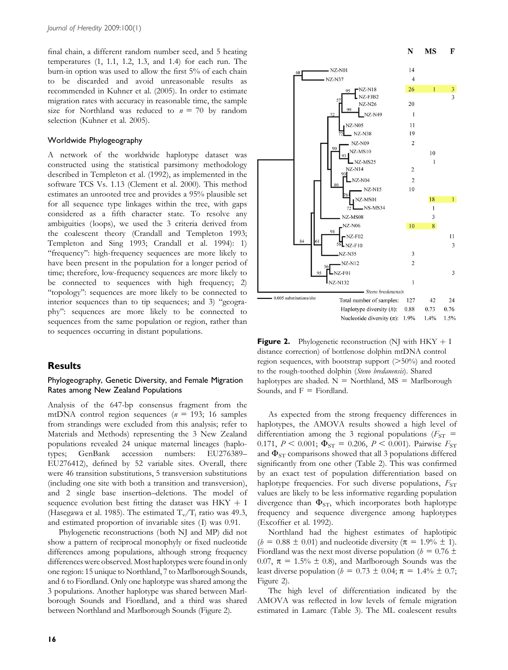final chain, a different random number seed, and 5 heating temperatures (1, 1.1, 1.2, 1.3, and 1.4) for each run. The burn-in option was used to allow the first 5% of each chain to be discarded and avoid unreasonable results as recommended in Kuhner et al. (2005). In order to estimate migration rates with accuracy in reasonable time, the sample size for Northland was reduced to  $n = 70$  by random selection (Kuhner et al. 2005).

#### Worldwide Phylogeography

A network of the worldwide haplotype dataset was constructed using the statistical parsimony methodology described in Templeton et al. (1992), as implemented in the software TCS Vs. 1.13 (Clement et al. 2000). This method estimates an unrooted tree and provides a 95% plausible set for all sequence type linkages within the tree, with gaps considered as a fifth character state. To resolve any ambiguities (loops), we used the 3 criteria derived from the coalescent theory (Crandall and Templeton 1993; Templeton and Sing 1993; Crandall et al. 1994): 1) "frequency": high-frequency sequences are more likely to have been present in the population for a longer period of time; therefore, low-frequency sequences are more likely to be connected to sequences with high frequency; 2) ''topology'': sequences are more likely to be connected to interior sequences than to tip sequences; and 3) ''geography'': sequences are more likely to be connected to sequences from the same population or region, rather than to sequences occurring in distant populations.

## **Results**

## Phylogeography, Genetic Diversity, and Female Migration Rates among New Zealand Populations

Analysis of the 647-bp consensus fragment from the mtDNA control region sequences ( $n = 193$ ; 16 samples from strandings were excluded from this analysis; refer to Materials and Methods) representing the 3 New Zealand populations revealed 24 unique maternal lineages (haplotypes; GenBank accession numbers: EU276389– EU276412), defined by 52 variable sites. Overall, there were 46 transition substitutions, 5 transversion substitutions (including one site with both a transition and transversion), and 2 single base insertion–deletions. The model of sequence evolution best fitting the dataset was  $HKY + I$ (Hasegawa et al. 1985). The estimated  $T_v/T_i$  ratio was 49.3, and estimated proportion of invariable sites (I) was 0.91.

Phylogenetic reconstructions (both NJ and MP) did not show a pattern of reciprocal monophyly or fixed nucleotide differences among populations, although strong frequency differences were observed. Most haplotypes were found in only one region: 15 unique to Northland, 7 to Marlborough Sounds, and 6 to Fiordland. Only one haplotype was shared among the 3 populations. Another haplotype was shared between Marlborough Sounds and Fiordland, and a third was shared between Northland and Marlborough Sounds (Figure 2).



**Figure 2.** Phylogenetic reconstruction (NJ with  $HKY + I$ distance correction) of bottlenose dolphin mtDNA control region sequences, with bootstrap support  $(>\!\!50\%)$  and rooted to the rough-toothed dolphin (Steno bredanensis). Shared haplotypes are shaded.  $N =$  Northland,  $MS =$  Marlborough Sounds, and  $F =$  Fiordland.

As expected from the strong frequency differences in haplotypes, the AMOVA results showed a high level of differentiation among the 3 regional populations ( $F_{ST}$  = 0.171,  $P < 0.001$ ;  $\Phi_{ST} = 0.206$ ,  $P < 0.001$ ). Pairwise  $F_{ST}$ and  $\Phi_{ST}$  comparisons showed that all 3 populations differed significantly from one other (Table 2). This was confirmed by an exact test of population differentiation based on haplotype frequencies. For such diverse populations,  $F_{ST}$ values are likely to be less informative regarding population divergence than  $\Phi_{ST}$ , which incorporates both haplotype frequency and sequence divergence among haplotypes (Excoffier et al. 1992).

Northland had the highest estimates of haplotipic (*h* = 0.88  $\pm$  0.01) and nucleotide diversity ( $\pi$  = 1.9%  $\pm$  1). Fiordland was the next most diverse population ( $b = 0.76 \pm 10$ 0.07,  $\pi = 1.5\% \pm 0.8$ , and Marlborough Sounds was the least diverse population ( $b = 0.73 \pm 0.04$ ;  $\pi = 1.4\% \pm 0.7$ ; Figure 2).

The high level of differentiation indicated by the AMOVA was reflected in low levels of female migration estimated in Lamarc (Table 3). The ML coalescent results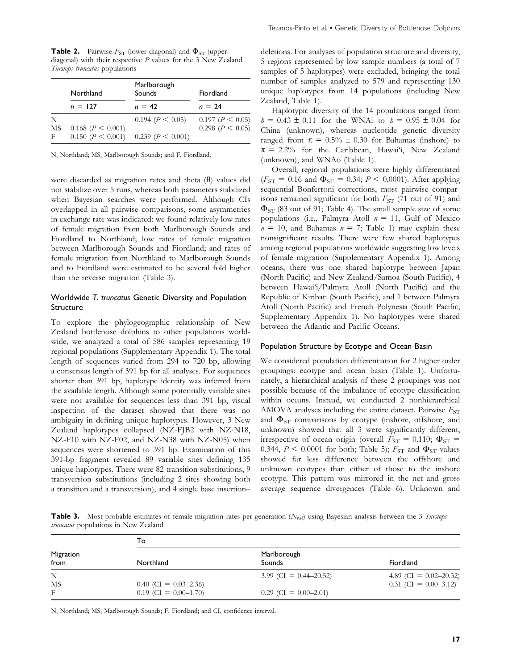**Table 2.** Pairwise  $F_{ST}$  (lower diagonal) and  $\Phi_{ST}$  (upper diagonal) with their respective P values for the 3 New Zealand Tursiops truncatus populations

|    | Northland                | Marlborough<br>Sounds    | Fiordland               |
|----|--------------------------|--------------------------|-------------------------|
|    | $n = 127$                | $n = 42$                 | $n = 24$                |
| N  |                          | $0.194 \ (P \leq 0.05)$  | $0.197 \ (P \leq 0.05)$ |
| MS | $0.168 \ (P \leq 0.001)$ |                          | $0.298 \ (P \leq 0.05)$ |
| F  | $0.150 \ (P \leq 0.001)$ | $0.239 \ (P \leq 0.001)$ |                         |

N, Northland; MS, Marlborough Sounds; and F, Fiordland.

were discarded as migration rates and theta  $(\theta)$  values did not stabilize over 5 runs, whereas both parameters stabilized when Bayesian searches were performed. Although CIs overlapped in all pairwise comparisons, some asymmetries in exchange rate was indicated: we found relatively low rates of female migration from both Marlborough Sounds and Fiordland to Northland; low rates of female migration between Marlborough Sounds and Fiordland; and rates of female migration from Northland to Marlborough Sounds and to Fiordland were estimated to be several fold higher than the reverse migration (Table 3).

## Worldwide T. truncatus Genetic Diversity and Population Structure

To explore the phylogeographic relationship of New Zealand bottlenose dolphins to other populations worldwide, we analyzed a total of 586 samples representing 19 regional populations (Supplementary Appendix 1). The total length of sequences varied from 294 to 720 bp, allowing a consensus length of 391 bp for all analyses. For sequences shorter than 391 bp, haplotype identity was inferred from the available length. Although some potentially variable sites were not available for sequences less than 391 bp, visual inspection of the dataset showed that there was no ambiguity in defining unique haplotypes. However, 3 New Zealand haplotypes collapsed (NZ-FJB2 with NZ-N18, NZ-F10 with NZ-F02, and NZ-N38 with NZ-N05) when sequences were shortened to 391 bp. Examination of this 391-bp fragment revealed 89 variable sites defining 135 unique haplotypes. There were 82 transition substitutions, 9 transversion substitutions (including 2 sites showing both a transition and a transversion), and 4 single base insertion–

deletions. For analyses of population structure and diversity, 5 regions represented by low sample numbers (a total of 7 samples of 5 haplotypes) were excluded, bringing the total number of samples analyzed to 579 and representing 130 unique haplotypes from 14 populations (including New Zealand, Table 1).

Haplotypic diversity of the 14 populations ranged from  $h = 0.43 \pm 0.11$  for the WNAi to  $h = 0.95 \pm 0.04$  for China (unknown), whereas nucleotide genetic diversity ranged from  $\pi = 0.5\% \pm 0.30$  for Bahamas (inshore) to  $\pi = 2.2\%$  for the Caribbean, Hawai'i, New Zealand (unknown), and WNAo (Table 1).

Overall, regional populations were highly differentiated ( $F_{ST}$  = 0.16 and  $\Phi_{ST}$  = 0.34;  $P$  < 0.0001). After applying sequential Bonferroni corrections, most pairwise comparisons remained significant for both  $F_{ST}$  (71 out of 91) and  $\Phi_{ST}$  (83 out of 91; Table 4). The small sample size of some populations (i.e., Palmyra Atoll  $n = 11$ , Gulf of Mexico  $n = 10$ , and Bahamas  $n = 7$ ; Table 1) may explain these nonsignificant results. There were few shared haplotypes among regional populations worldwide suggesting low levels of female migration (Supplementary Appendix 1). Among oceans, there was one shared haplotype between Japan (North Pacific) and New Zealand/Samoa (South Pacific), 4 between Hawai'i/Palmyra Atoll (North Pacific) and the Republic of Kiribati (South Pacific), and 1 between Palmyra Atoll (North Pacific) and French Polynesia (South Pacific; Supplementary Appendix 1). No haplotypes were shared between the Atlantic and Pacific Oceans.

#### Population Structure by Ecotype and Ocean Basin

We considered population differentiation for 2 higher order groupings: ecotype and ocean basin (Table 1). Unfortunately, a hierarchical analysis of these 2 groupings was not possible because of the imbalance of ecotype classification within oceans. Instead, we conducted 2 nonhierarchical AMOVA analyses including the entire dataset. Pairwise  $F_{ST}$ and  $\Phi_{ST}$  comparisons by ecotype (inshore, offshore, and unknown) showed that all 3 were significantly different, irrespective of ocean origin (overall  $F_{ST} = 0.110$ ;  $\Phi_{ST} =$ 0.344,  $P \le 0.0001$  for both; Table 5);  $F_{ST}$  and  $\Phi_{ST}$  values showed far less difference between the offshore and unknown ecotypes than either of those to the inshore ecotype. This pattern was mirrored in the net and gross average sequence divergences (Table 6). Unknown and

**Table 3.** Most probable estimates of female migration rates per generation  $(N_{\text{mf}})$  using Bayesian analysis between the 3 Tursiops truncatus populations in New Zealand

|                   | То                      |                           |                           |  |  |  |  |  |
|-------------------|-------------------------|---------------------------|---------------------------|--|--|--|--|--|
| Migration<br>from | Northland               | Marlborough<br>Sounds     | Fiordland                 |  |  |  |  |  |
| N                 |                         | 3.99 (CI = $0.44-20.52$ ) | 4.89 (CI = $0.02-20.32$ ) |  |  |  |  |  |
| MS                | $0.40$ (CI = 0.03–2.36) |                           | $0.31$ (CI = 0.00-3.12)   |  |  |  |  |  |
| F                 | $0.19$ (CI = 0.00–1.70) | $0.29$ (CI = 0.00–2.01)   |                           |  |  |  |  |  |

N, Northland; MS, Marlborough Sounds; F, Fiordland; and CI, confidence interval.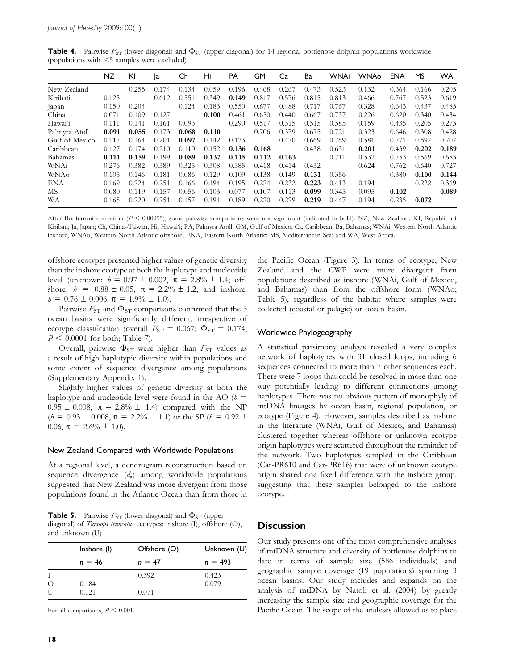| <b>Table 4.</b> Pairwise $F_{ST}$ (lower diagonal) and $\Phi_{ST}$ (upper diagonal) for 14 regional bottlenose dolphin populations worldwide |  |  |  |  |  |
|----------------------------------------------------------------------------------------------------------------------------------------------|--|--|--|--|--|
| (populations with $\leq$ 5 samples were excluded)                                                                                            |  |  |  |  |  |

|                | NZ    | KI    | Ja    | Ch    | Hi    | PA    | GM    | Ca    | Ba    | WNAi  | <b>WNAo</b> | ENA   | MS    | <b>WA</b> |
|----------------|-------|-------|-------|-------|-------|-------|-------|-------|-------|-------|-------------|-------|-------|-----------|
| New Zealand    |       | 0.255 | 0.174 | 0.134 | 0.059 | 0.196 | 0.468 | 0.267 | 0.473 | 0.523 | 0.132       | 0.364 | 0.166 | 0.205     |
| Kiribati       | 0.125 |       | 0.612 | 0.551 | 0.349 | 0.149 | 0.817 | 0.576 | 0.815 | 0.813 | 0.466       | 0.767 | 0.523 | 0.619     |
| Japan          | 0.150 | 0.204 |       | 0.124 | 0.183 | 0.550 | 0.677 | 0.488 | 0.717 | 0.767 | 0.328       | 0.643 | 0.437 | 0.485     |
| China          | 0.071 | 0.109 | 0.127 |       | 0.100 | 0.461 | 0.650 | 0.440 | 0.667 | 0.737 | 0.226       | 0.620 | 0.340 | 0.434     |
| Hawai'i        | 0.111 | 0.141 | 0.161 | 0.093 |       | 0.290 | 0.517 | 0.315 | 0.515 | 0.585 | 0.159       | 0.435 | 0.205 | 0.273     |
| Palmyra Atoll  | 0.091 | 0.055 | 0.173 | 0.068 | 0.110 |       | 0.706 | 0.379 | 0.675 | 0.721 | 0.323       | 0.646 | 0.308 | 0.428     |
| Gulf of Mexico | 0.117 | 0.164 | 0.201 | 0.097 | 0.142 | 0.123 |       | 0.470 | 0.669 | 0.769 | 0.581       | 0.771 | 0.597 | 0.707     |
| Caribbean      | 0.127 | 0.174 | 0.210 | 0.110 | 0.152 | 0.136 | 0.168 |       | 0.438 | 0.631 | 0.201       | 0.439 | 0.202 | 0.189     |
| Bahamas        | 0.111 | 0.159 | 0.199 | 0.089 | 0.137 | 0.115 | 0.112 | 0.163 |       | 0.711 | 0.532       | 0.753 | 0.569 | 0.683     |
| WNAi           | 0.276 | 0.382 | 0.389 | 0.325 | 0.308 | 0.385 | 0.418 | 0.414 | 0.432 |       | 0.624       | 0.762 | 0.640 | 0.727     |
| WNAo           | 0.105 | 0.146 | 0.181 | 0.086 | 0.129 | 0.109 | 0.138 | 0.149 | 0.131 | 0.356 |             | 0.380 | 0.100 | 0.144     |
| <b>ENA</b>     | 0.169 | 0.224 | 0.251 | 0.166 | 0.194 | 0.195 | 0.224 | 0.232 | 0.223 | 0.413 | 0.194       |       | 0.222 | 0.369     |
| МS             | 0.080 | 0.119 | 0.157 | 0.056 | 0.103 | 0.077 | 0.107 | 0.113 | 0.099 | 0.345 | 0.095       | 0.102 |       | 0.089     |
| WA             | 0.165 | 0.220 | 0.251 | 0.157 | 0.191 | 0.189 | 0.220 | 0.229 | 0.219 | 0.447 | 0.194       | 0.235 | 0.072 |           |

After Bonferroni correction ( $P < 0.00055$ ), some pairwise comparisons were not significant (indicated in bold). NZ, New Zealand; KI, Republic of Kiribati; Ja, Japan; Ch, China–Taiwan; Hi, Hawai'i; PA, Palmyra Atoll; GM, Gulf of Mexico; Ca, Caribbean; Ba, Bahamas; WNAi, Western North Atlantic inshore; WNAo, Western North Atlantic offshore; ENA, Eastern North Atlantic; MS, Mediterranean Sea; and WA, West Africa.

offshore ecotypes presented higher values of genetic diversity than the inshore ecotype at both the haplotype and nucleotide level (unknown:  $h = 0.97 \pm 0.002$ ,  $\pi = 2.8\% \pm 1.4$ ; offshore:  $h = 0.88 \pm 0.05$ ,  $\pi = 2.2\% \pm 1.2$ ; and inshore:  $h = 0.76 \pm 0.006$ ,  $\pi = 1.9\% \pm 1.0$ .

Pairwise  $F_{ST}$  and  $\Phi_{ST}$  comparisons confirmed that the 3 ocean basins were significantly different, irrespective of ecotype classification (overall  $F_{ST} = 0.067$ ;  $\Phi_{ST} = 0.174$ ,  $P < 0.0001$  for both; Table 7).

Overall, pairwise  $\Phi_{ST}$  were higher than  $F_{ST}$  values as a result of high haplotypic diversity within populations and some extent of sequence divergence among populations (Supplementary Appendix 1).

Slightly higher values of genetic diversity at both the haplotype and nucleotide level were found in the AO  $(h =$  $0.95 \pm 0.008$ ,  $\pi = 2.8\% \pm 1.4$  compared with the NP  $(h = 0.93 \pm 0.008, \pi = 2.2\% \pm 1.1)$  or the SP  $(h = 0.92 \pm 1.1)$ 0.06,  $\pi = 2.6\% \pm 1.0$ .

#### New Zealand Compared with Worldwide Populations

At a regional level, a dendrogram reconstruction based on sequence divergence  $(d_a)$  among worldwide populations suggested that New Zealand was more divergent from those populations found in the Atlantic Ocean than from those in

**Table 5.** Pairwise  $F_{ST}$  (lower diagonal) and  $\Phi_{ST}$  (upper diagonal) of Tursiops truncatus ecotypes: inshore (I), offshore (O), and unknown (U)

|            | Inshore (I) | Offshore (O) | Unknown (U) |  |  |
|------------|-------------|--------------|-------------|--|--|
|            | $n = 46$    | $n = 47$     | $n = 493$   |  |  |
|            |             | 0.392        | 0.423       |  |  |
| $\left($ ) | 0.184       |              | 0.079       |  |  |
| U          | 0.121       | 0.071        |             |  |  |

For all comparisons,  $P < 0.001$ .

the Pacific Ocean (Figure 3). In terms of ecotype, New Zealand and the CWP were more divergent from populations described as inshore (WNAi, Gulf of Mexico, and Bahamas) than from the offshore form (WNAo; Table 5), regardless of the habitat where samples were collected (coastal or pelagic) or ocean basin.

## Worldwide Phylogeography

A statistical parsimony analysis revealed a very complex network of haplotypes with 31 closed loops, including 6 sequences connected to more than 7 other sequences each. There were 7 loops that could be resolved in more than one way potentially leading to different connections among haplotypes. There was no obvious pattern of monophyly of mtDNA lineages by ocean basin, regional population, or ecotype (Figure 4). However, samples described as inshore in the literature (WNAi, Gulf of Mexico, and Bahamas) clustered together whereas offshore or unknown ecotype origin haplotypes were scattered throughout the reminder of the network. Two haplotypes sampled in the Caribbean (Car-PR610 and Car-PR616) that were of unknown ecotype origin shared one fixed difference with the inshore group, suggesting that these samples belonged to the inshore ecotype.

## **Discussion**

Our study presents one of the most comprehensive analyses of mtDNA structure and diversity of bottlenose dolphins to date in terms of sample size (586 individuals) and geographic sample coverage (19 populations) spanning 3 ocean basins. Our study includes and expands on the analysis of mtDNA by Natoli et al. (2004) by greatly increasing the sample size and geographic coverage for the Pacific Ocean. The scope of the analyses allowed us to place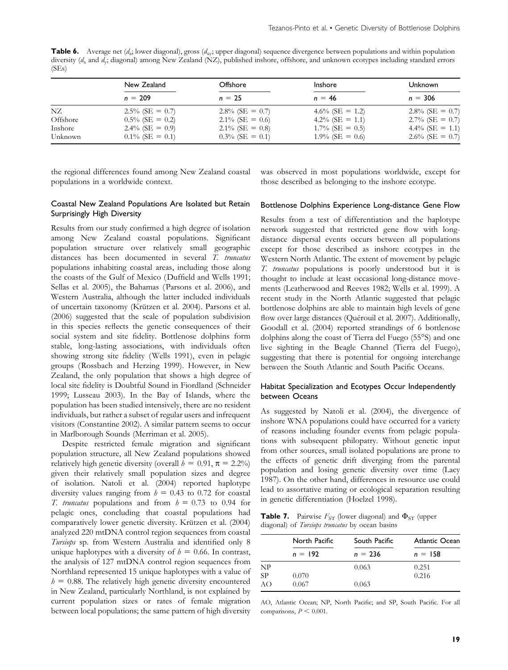**Table 6.** Average net  $(d_a)$  lower diagonal), gross  $(d_x)$  upper diagonal) sequence divergence between populations and within population diversity (d<sub>x</sub> and d<sub>y</sub>; diagonal) among New Zealand (NZ), published inshore, offshore, and unknown ecotypes including standard errors (SEs)

|          | New Zealand        | <b>Offshore</b>    | <b>Inshore</b>     | Unknown            |  |
|----------|--------------------|--------------------|--------------------|--------------------|--|
|          | $n = 209$          | $n = 25$           | $n = 46$           | $n = 306$          |  |
| NZ       | $2.5\%$ (SE = 0.7) | $2.8\%$ (SE = 0.7) | 4.6% (SE = 1.2)    | 2.8% (SE = 0.7)    |  |
| Offshore | $0.5\%$ (SE = 0.2) | $2.1\%$ (SE = 0.6) | 4.2% (SE = 1.1)    | $2.7\%$ (SE = 0.7) |  |
| Inshore  | $2.4\%$ (SE = 0.9) | 2.1\% (SE = 0.8)   | $1.7\%$ (SE = 0.5) | 4.4% (SE = 1.1)    |  |
| Unknown  | $0.1\%$ (SE = 0.1) | $0.3\%$ (SE = 0.1) | $1.9\%$ (SE = 0.6) | $2.6\%$ (SE = 0.7) |  |

the regional differences found among New Zealand coastal populations in a worldwide context.

was observed in most populations worldwide, except for those described as belonging to the inshore ecotype.

## Coastal New Zealand Populations Are Isolated but Retain Surprisingly High Diversity

Results from our study confirmed a high degree of isolation among New Zealand coastal populations. Significant population structure over relatively small geographic distances has been documented in several T. truncatus populations inhabiting coastal areas, including those along the coasts of the Gulf of Mexico (Duffield and Wells 1991; Sellas et al. 2005), the Bahamas (Parsons et al. 2006), and Western Australia, although the latter included individuals of uncertain taxonomy (Krützen et al. 2004). Parsons et al. (2006) suggested that the scale of population subdivision in this species reflects the genetic consequences of their social system and site fidelity. Bottlenose dolphins form stable, long-lasting associations, with individuals often showing strong site fidelity (Wells 1991), even in pelagic groups (Rossbach and Herzing 1999). However, in New Zealand, the only population that shows a high degree of local site fidelity is Doubtful Sound in Fiordland (Schneider 1999; Lusseau 2003). In the Bay of Islands, where the population has been studied intensively, there are no resident individuals, but rather a subset of regular users and infrequent visitors (Constantine 2002). A similar pattern seems to occur in Marlborough Sounds (Merriman et al. 2005).

Despite restricted female migration and significant population structure, all New Zealand populations showed relatively high genetic diversity (overall  $b = 0.91$ ,  $\pi = 2.2\%$ ) given their relatively small population sizes and degree of isolation. Natoli et al. (2004) reported haplotype diversity values ranging from  $h = 0.43$  to 0.72 for coastal T. truncatus populations and from  $h = 0.73$  to 0.94 for pelagic ones, concluding that coastal populations had comparatively lower genetic diversity. Krützen et al. (2004) analyzed 220 mtDNA control region sequences from coastal Tursiops sp. from Western Australia and identified only 8 unique haplotypes with a diversity of  $h = 0.66$ . In contrast, the analysis of 127 mtDNA control region sequences from Northland represented 15 unique haplotypes with a value of  $h = 0.88$ . The relatively high genetic diversity encountered in New Zealand, particularly Northland, is not explained by current population sizes or rates of female migration between local populations; the same pattern of high diversity

#### Bottlenose Dolphins Experience Long-distance Gene Flow

Results from a test of differentiation and the haplotype network suggested that restricted gene flow with longdistance dispersal events occurs between all populations except for those described as inshore ecotypes in the Western North Atlantic. The extent of movement by pelagic T. truncatus populations is poorly understood but it is thought to include at least occasional long-distance movements (Leatherwood and Reeves 1982; Wells et al. 1999). A recent study in the North Atlantic suggested that pelagic bottlenose dolphins are able to maintain high levels of gene flow over large distances (Quérouil et al. 2007). Additionally, Goodall et al. (2004) reported strandings of 6 bottlenose dolphins along the coast of Tierra del Fuego (55°S) and one live sighting in the Beagle Channel (Tierra del Fuego), suggesting that there is potential for ongoing interchange between the South Atlantic and South Pacific Oceans.

## Habitat Specialization and Ecotypes Occur Independently between Oceans

As suggested by Natoli et al. (2004), the divergence of inshore WNA populations could have occurred for a variety of reasons including founder events from pelagic populations with subsequent philopatry. Without genetic input from other sources, small isolated populations are prone to the effects of genetic drift diverging from the parental population and losing genetic diversity over time (Lacy 1987). On the other hand, differences in resource use could lead to assortative mating or ecological separation resulting in genetic differentiation (Hoelzel 1998).

**Table 7.** Pairwise  $F_{ST}$  (lower diagonal) and  $\Phi_{ST}$  (upper diagonal) of Tursiops truncatus by ocean basins

|    | North Pacific | South Pacific | Atlantic Ocean |  |  |
|----|---------------|---------------|----------------|--|--|
|    | $n = 192$     | $n = 236$     | $n = 158$      |  |  |
| NP |               | 0.063         | 0.251          |  |  |
| SP | 0.070         |               | 0.216          |  |  |
| AО | 0.067         | 0.063         |                |  |  |

AO, Atlantic Ocean; NP, North Pacific; and SP, South Pacific. For all comparisons,  $P \leq 0.001$ .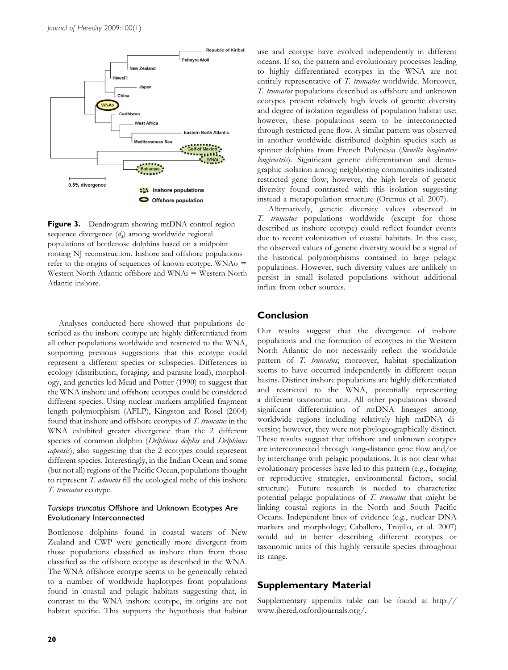

Figure 3. Dendrogram showing mtDNA control region sequence divergence  $(d<sub>a</sub>)$  among worldwide regional populations of bottlenose dolphins based on a midpoint rooting NJ reconstruction. Inshore and offshore populations refer to the origins of sequences of known ecotype. WNA $\alpha$  = Western North Atlantic offshore and  $WNAi = Western$  North Atlantic inshore.

Analyses conducted here showed that populations described as the inshore ecotype are highly differentiated from all other populations worldwide and restricted to the WNA, supporting previous suggestions that this ecotype could represent a different species or subspecies. Differences in ecology (distribution, foraging, and parasite load), morphology, and genetics led Mead and Potter (1990) to suggest that the WNA inshore and offshore ecotypes could be considered different species. Using nuclear markers amplified fragment length polymorphism (AFLP), Kingston and Rosel (2004) found that inshore and offshore ecotypes of T. truncatus in the WNA exhibited greater divergence than the 2 different species of common dolphin (Delphinus delphis and Delphinus capensis), also suggesting that the 2 ecotypes could represent different species. Interestingly, in the Indian Ocean and some (but not all) regions of the Pacific Ocean, populations thought to represent T. aduncus fill the ecological niche of this inshore T. truncatus ecotype.

## Tursiops truncatus Offshore and Unknown Ecotypes Are Evolutionary Interconnected

Bottlenose dolphins found in coastal waters of New Zealand and CWP were genetically more divergent from those populations classified as inshore than from those classified as the offshore ecotype as described in the WNA. The WNA offshore ecotype seems to be genetically related to a number of worldwide haplotypes from populations found in coastal and pelagic habitats suggesting that, in contrast to the WNA inshore ecotype, its origins are not habitat specific. This supports the hypothesis that habitat

use and ecotype have evolved independently in different oceans. If so, the pattern and evolutionary processes leading to highly differentiated ecotypes in the WNA are not entirely representative of T. truncatus worldwide. Moreover, T. truncatus populations described as offshore and unknown ecotypes present relatively high levels of genetic diversity and degree of isolation regardless of population habitat use; however, these populations seem to be interconnected through restricted gene flow. A similar pattern was observed in another worldwide distributed dolphin species such as spinner dolphins from French Polynesia (Stenella longirostris longirostris). Significant genetic differentiation and demographic isolation among neighboring communities indicated restricted gene flow; however, the high levels of genetic diversity found contrasted with this isolation suggesting instead a metapopulation structure (Oremus et al. 2007).

Alternatively, genetic diversity values observed in T. truncatus populations worldwide (except for those described as inshore ecotype) could reflect founder events due to recent colonization of coastal habitats. In this case, the observed values of genetic diversity would be a signal of the historical polymorphisms contained in large pelagic populations. However, such diversity values are unlikely to persist in small isolated populations without additional influx from other sources.

# Conclusion

Our results suggest that the divergence of inshore populations and the formation of ecotypes in the Western North Atlantic do not necessarily reflect the worldwide pattern of T. truncatus; moreover, habitat specialization seems to have occurred independently in different ocean basins. Distinct inshore populations are highly differentiated and restricted to the WNA, potentially representing a different taxonomic unit. All other populations showed significant differentiation of mtDNA lineages among worldwide regions including relatively high mtDNA diversity; however, they were not phylogeographically distinct. These results suggest that offshore and unknown ecotypes are interconnected through long-distance gene flow and/or by interchange with pelagic populations. It is not clear what evolutionary processes have led to this pattern (e.g., foraging or reproductive strategies, environmental factors, social structure). Future research is needed to characterize potential pelagic populations of T. truncatus that might be linking coastal regions in the North and South Pacific Oceans. Independent lines of evidence (e.g., nuclear DNA markers and morphology; Caballero, Trujillo, et al. 2007) would aid in better describing different ecotypes or taxonomic units of this highly versatile species throughout its range.

# Supplementary Material

Supplementary appendix table can be found at [http://](http://www.jhered.oxfordjournals.org/) [www.jhered.oxfordjournals.org/](http://www.jhered.oxfordjournals.org/).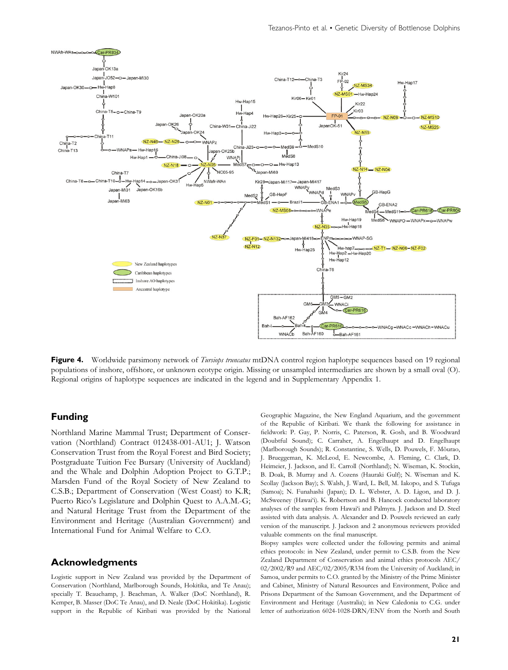

Figure 4. Worldwide parsimony network of Tursiops truncatus mtDNA control region haplotype sequences based on 19 regional populations of inshore, offshore, or unknown ecotype origin. Missing or unsampled intermediaries are shown by a small oval (O). Regional origins of haplotype sequences are indicated in the legend and in Supplementary Appendix 1.

# Funding

Northland Marine Mammal Trust; Department of Conservation (Northland) Contract 012438-001-AU1; J. Watson Conservation Trust from the Royal Forest and Bird Society; Postgraduate Tuition Fee Bursary (University of Auckland) and the Whale and Dolphin Adoption Project to G.T.P.; Marsden Fund of the Royal Society of New Zealand to C.S.B.; Department of Conservation (West Coast) to K.R; Puerto Rico's Legislature and Dolphin Quest to A.A.M.-G; and Natural Heritage Trust from the Department of the Environment and Heritage (Australian Government) and International Fund for Animal Welfare to C.O.

## Acknowledgments

Logistic support in New Zealand was provided by the Department of Conservation ( Northland, Marlborough Sounds, Hokitika, and Te Anau); specially T. Beauchamp, J. Beachman, A. Walker (DoC Northland), R. Kemper, B. Masser (DoC Te Anau), and D. Neale (DoC Hokitika). Logistic support in the Republic of Kiribati was provided by the National Geographic Magazine, the New England Aquarium, and the government of the Republic of Kiribati. We thank the following for assistance in fieldwork: P. Gay, P. Norris, C. Paterson, R. Gosh, and B. Woodward (Doubtful Sound); C. Carraher, A. Engelhaupt and D. Engelhaupt (Marlborough Sounds); R. Constantine, S. Wells, D. Pouwels, F. Mõurao, J. Brueggeman, K. McLeod, E. Newcombe, A. Fleming, C. Clark, D. Heimeier, J. Jackson, and E. Carroll (Northland); N. Wiseman, K. Stockin, B. Doak, B. Murray and A. Cozens (Hauraki Gulf); N. Wiseman and K. Scollay (Jackson Bay); S. Walsh, J. Ward, L. Bell, M. Iakopo, and S. Tufuga (Samoa); N. Funahashi (Japan); D. L. Webster, A. D. Ligon, and D. J. McSweeney (Hawai'i). K. Robertson and B. Hancock conducted laboratory analyses of the samples from Hawai'i and Palmyra. J. Jackson and D. Steel assisted with data analysis. A. Alexander and D. Pouwels reviewed an early version of the manuscript. J. Jackson and 2 anonymous reviewers provided valuable comments on the final manuscript.

Biopsy samples were collected under the following permits and animal ethics protocols: in New Zealand, under permit to C.S.B. from the New Zealand Department of Conservation and animal ethics protocols AEC/ 02/2002/R9 and AEC/02/2005/R334 from the University of Auckland; in Samoa, under permits to C.O. granted by the Ministry of the Prime Minister and Cabinet, Ministry of Natural Resources and Environment, Police and Prisons Department of the Samoan Government, and the Department of Environment and Heritage (Australia); in New Caledonia to C.G. under letter of authorization 6024-1028-DRN/ENV from the North and South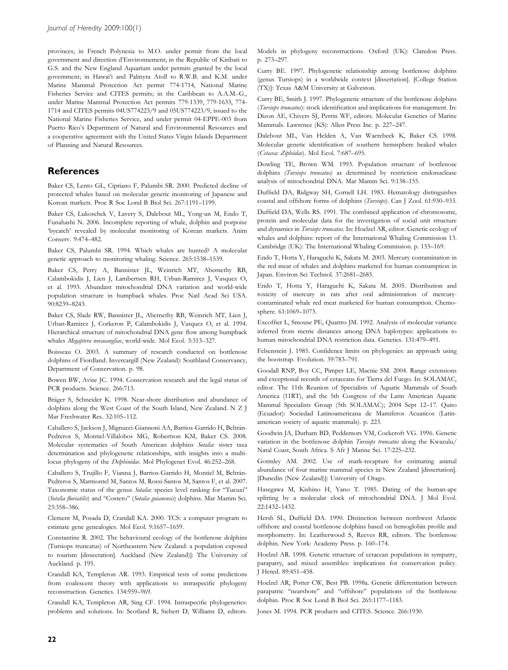provinces; in French Polynesia to M.O. under permit from the local government and direction d'Environnement; in the Republic of Kiribati to G.S. and the New England Aquarium under permits granted by the local government; in Hawai'i and Palmyra Atoll to R.W.B. and K.M. under Marine Mammal Protection Act permit 774-1714, National Marine Fisheries Service and CITES permits; in the Caribbean to A.A.M.-G., under Marine Mammal Protection Act permits 779-1339, 779-1633, 774- 1714 and CITES permits 04US774223/9 and 05US774223/9, issued to the National Marine Fisheries Service, and under permit 04-EPPE-003 from Puerto Rico's Department of Natural and Environmental Resources and a cooperative agreement with the United States Virgin Islands Department of Planning and Natural Resources.

## **References**

Baker CS, Lento GL, Cipriano F, Palumbi SR. 2000. Predicted decline of protected whales based on molecular genetic monitoring of Japanese and Korean markets. Proc R Soc Lond B Biol Sci. 267:1191–1199.

Baker CS, Lukoschek V, Lavery S, Dalebout ML, Yong-un M, Endo T, Funahashi N. 2006. Incomplete reporting of whale, dolphin and porpoise 'bycatch' revealed by molecular monitoring of Korean markets. Anim Conserv. 9:474–482.

Baker CS, Palumbi SR. 1994. Which whales are hunted? A molecular genetic approach to monitoring whaling. Science. 265:1538–1539.

Baker CS, Perry A, Bannister JL, Weinrich MT, Abernethy RB, Calambokidis J, Lien J, Lambertsen RH, Urban-Ramirez J, Vasquez O, et al. 1993. Abundant mitochondrial DNA variation and world-wide population structure in humpback whales. Proc Natl Acad Sci USA. 90:8239–8243.

Baker CS, Slade RW, Bannister JL, Abernethy RB, Weinrich MT, Lien J, Urban-Ramirez J, Corkeron P, Calambokidis J, Vasquez O, et al. 1994. Hierarchical structure of mitochondrial DNA gene flow among humpback whales Megaptera novaeangliae, world-wide. Mol Ecol. 3:313–327.

Boisseau O. 2003. A summary of research conducted on bottlenose dolphins of Fiordland. Invercargill (New Zealand): Southland Conservancy, Department of Conservation. p. 98.

Bowen BW, Avise JC. 1994. Conservation research and the legal status of PCR products. Science. 266:713.

Bräger S, Schneider K. 1998. Near-shore distribution and abundance of dolphins along the West Coast of the South Island, New Zealand. N Z J Mar Freshwater Res. 32:105–112.

Caballero S, Jackson J, Mignucci-Giannoni AA, Barrios-Garrido H, Beltrán-Pedreros S, Montiel-Villalobos MG, Robertson KM, Baker CS. 2008. Molecular systematics of South American dolphins Sotalia: sister taxa determination and phylogenetic relationships, with insights into a multilocus phylogeny of the Delphinidae. Mol Phylogenet Evol. 46:252-268.

Caballero S, Trujillo F, Vianna J, Barrios-Garrido H, Montiel M, Beltrán-Pedreros S, Marmontel M, Santos M, Rossi-Santos M, Santos F, et al. 2007. Taxonomic status of the genus Sotalia: species level ranking for "Tucuxi" (Sotalia fluviatilis) and ''Costero'' (Sotalia guianensis) dolphins. Mar Mamm Sci. 23:358–386.

Clement M, Posada D, Crandall KA. 2000. TCS: a computer program to estimate gene genealogies. Mol Ecol. 9:1657–1659.

Constantine R. 2002. The behavioural ecology of the bottlenose dolphins (Tursiops truncatus) of Northeastern New Zealand: a population exposed to tourism [disseetation]. Auckland (New Zealand)]: The University of Auckland. p. 195.

Crandall KA, Templeton AR. 1993. Empirical tests of some predictions from coalescent theory with applications to intraspecific phylogeny reconstruction. Genetics. 134:959–969.

Crandall KA, Templeton AR, Sing CF. 1994. Intraspecific phylogenetics: problems and solutions. In: Scotland R, Siebert D, Williams D, editors.

Models in phylogeny reconstructions. Oxford (UK): Claredon Press. p. 273–297.

Curry BE. 1997. Phylogenetic relationship among bottlenose dolphins (genus Tursiops) in a worldwide context [dissertation]. [College Station (TX)]: Texas A&M University at Galveston.

Curry BE, Smith J. 1997. Phylogenetic structure of the bottlenose dolphins (Tursiops truncatus): stock identification and implications for management. In: Dizon AE, Chivers SJ, Perrin WF, editors. Molecular Genetics of Marine Mammals. Lawrence (KS): Allen Press Inc. p. 227–247.

Dalebout ML, Van Helden A, Van Waerebeek K, Baker CS. 1998. Molecular genetic identification of southern hemisphere beaked whales (Cetacea: Ziphiidae). Mol Ecol. 7:687–695.

Dowling TE, Brown WM. 1993. Population structure of bottlenose dolphins (Tursiops truncatus) as determined by restriction endonuclease analysis of mitochondrial DNA. Mar Mamm Sci. 9:138–155.

Duffield DA, Ridgway SH, Cornell LH. 1983. Hematology distinguishes coastal and offshore forms of dolphins (Tursiops). Can J Zool. 61:930–933.

Duffield DA, Wells RS. 1991. The combined application of chromosome, protein and molecular data for the investigation of social unit structure and dynamics in Tursiops truncatus. In: Hoelzel AR, editor. Genetic ecology of whales and dolphins: report of the International Whaling Commission 13. Cambridge (UK): The International Whaling Commission. p. 155–169.

Endo T, Hotta Y, Haraguchi K, Sakata M. 2003. Mercury contamination in the red meat of whales and dolphins marketed for human consumption in Japan. Environ Sci Technol. 37:2681–2685.

Endo T, Hotta Y, Haraguchi K, Sakata M. 2005. Distribution and toxicity of mercury in rats after oral administration of mercurycontaminated whale red meat marketed for human consumption. Chemosphere. 61:1069–1073.

Excoffier L, Smouse PE, Quattro JM. 1992. Analysis of molecular variance inferred from metric distances among DNA haplotypes: applications to human mitochondrial DNA restriction data. Genetics. 131:479–491.

Felsenstein J. 1985. Confidence limits on phylogenies: an approach using the bootstrap. Evolution. 39:783–791.

Goodall RNP, Boy CC, Pimper LE, Macnie SM. 2004. Range extensions and exceptional records of cetaceans for Tierra del Fuego. In: SOLAMAC, editor. The 11th Reunion of Specialists of Aquatic Mammals of South America (11RT), and the 5th Congress of the Latin American Aquatic Mammal Specialists Group (5th SOLAMAC); 2004 Sept 12–17. Quito (Ecuador): Sociedad Latinoamericana de Mamiferos Acuaticos (Latinamerican society of aquatic mammals). p. 223.

Goodwin JA, Durham BD, Peddemors VM, Cockcroft VG. 1996. Genetic variation in the bottlenose dolphin Tursiops truncatus along the Kwazulu/ Natal Coast, South Africa. S Afr J Marine Sci. 17:225–232.

Gormley AM. 2002. Use of mark-recapture for estimating animal abundance of four marine mammal species in New Zealand [dissertation]. [Dunedin (New Zealand)]: University of Otago.

Hasegawa M, Kishino H, Yano T. 1985. Dating of the human-ape splitting by a molecular clock of mitochondrial DNA. J Mol Evol. 22:1432–1432.

Hersh SL, Duffield DA. 1990. Distinction between northwest Atlantic offshore and coastal bottlenose dolphins based on hemoglobin profile and morphometry. In: Leatherwood S, Reeves RR, editors. The bottlenose dolphin. New York: Academy Press. p. 160–174.

Hoelzel AR. 1998. Genetic structure of cetacean populations in sympatry, parapatry, and mixed assembles: implications for conservation policy. J Hered. 89:451–458.

Hoelzel AR, Potter CW, Best PB. 1998a. Genetic differentiation between parapatric "nearshore" and "offshore" populations of the bottlenose dolphin. Proc R Soc Lond B Biol Sci. 265:1177–1183.

Jones M. 1994. PCR products and CITES. Science. 266:1930.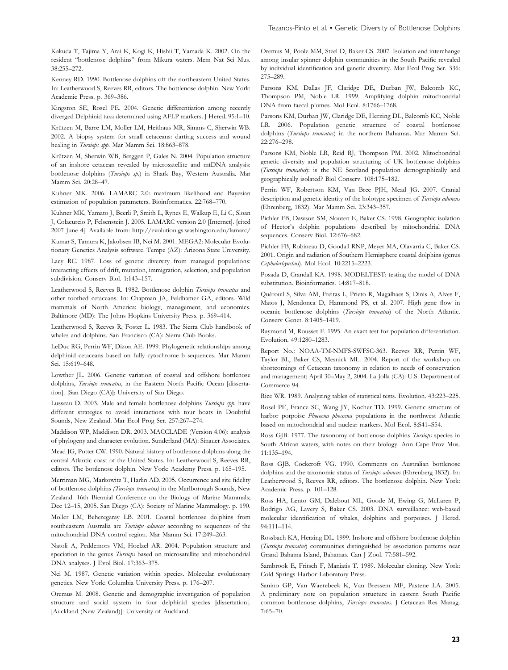Kakuda T, Tajima Y, Arai K, Kogi K, Hishii T, Yamada K. 2002. On the resident ''bottlenose dolphins'' from Mikura waters. Mem Nat Sci Mus. 38:255–272.

Kenney RD. 1990. Bottlenose dolphins off the northeastern United States. In: Leatherwood S, Reeves RR, editors. The bottlenose dolphin. New York: Academic Press. p. 369–386.

Kingston SE, Rosel PE. 2004. Genetic differentiation among recently diverged Delphinid taxa determined using AFLP markers. J Hered. 95:1–10.

Krützen M, Barre LM, Moller LM, Heithaus MR, Simms C, Sherwin WB. 2002. A biopsy system for small cetaceans: darting success and wound healing in Tursiops spp. Mar Mamm Sci. 18:863–878.

Krützen M, Sherwin WB, Berggen P, Gales N. 2004. Population structure of an inshore cetacean revealed by microsatellite and mtDNA analysis: bottlenose dolphins (Tursiops sp.) in Shark Bay, Western Australia. Mar Mamm Sci. 20:28–47.

Kuhner MK. 2006. LAMARC 2.0: maximum likelihood and Bayesian estimation of population parameters. Bioinformatics. 22:768–770.

Kuhner MK, Yamato J, Beerli P, Smith L, Rynes E, Walkup E, Li C, Sloan J, Colacurcio P, Felsenstein J. 2005. LAMARC version 2.0 [Internet]. [cited 2007 June 4]. Available from:<http://evolution.gs.washington.edu/lamarc/>

Kumar S, Tamura K, Jakobsen IB, Nei M. 2001. MEGA2: Molecular Evolutionary Genetics Analysis software. Tempe (AZ): Arizona State University.

Lacy RC. 1987. Loss of genetic diversity from managed populations: interacting effects of drift, mutation, immigration, selection, and population subdivision. Conserv Biol. 1:143–157.

Leatherwood S, Reeves R. 1982. Bottlenose dolphin Tursiops truncatus and other toothed cetaceans. In: Chapman JA, Feldhamer GA, editors. Wild mammals of North America: biology, management, and economics. Baltimore (MD): The Johns Hopkins University Press. p. 369–414.

Leatherwood S, Reeves R, Foster L. 1983. The Sierra Club handbook of whales and dolphins. San Francisco (CA): Sierra Club Books.

LeDuc RG, Perrin WF, Dizon AE. 1999. Phylogenetic relationships among delphinid cetaceans based on fully cytochrome b sequences. Mar Mamm Sci. 15:619–648.

Lowther JL. 2006. Genetic variation of coastal and offshore bottlenose dolphins, Tursiops truncatus, in the Eastern North Pacific Ocean [dissertation]. [San Diego (CA)]: University of San Diego.

Lusseau D. 2003. Male and female bottlenose dolphins Tursiops spp. have different strategies to avoid interactions with tour boats in Doubtful Sounds, New Zealand. Mar Ecol Prog Ser. 257:267–274.

Maddison WP, Maddison DR. 2003. MACCLADE (Version 4.06): analysis of phylogeny and character evolution. Sunderland (MA): Sinauer Associates.

Mead JG, Potter CW. 1990. Natural history of bottlenose dolphins along the central Atlantic coast of the United States. In: Leatherwood S, Reeves RR, editors. The bottlenose dolphin. New York: Academy Press. p. 165–195.

Merriman MG, Markowitz T, Harlin AD. 2005. Occurrence and site fidelity of bottlenose dolphins (Tursiops truncatus) in the Marlborough Sounds, New Zealand. 16th Biennial Conference on the Biology of Marine Mammals; Dec 12–15, 2005. San Diego (CA): Society of Marine Mammalogy. p. 190.

Moller LM, Beheregaray LB. 2001. Coastal bottlenose dolphins from southeastern Australia are Tursiops aduncus according to sequences of the mitochondrial DNA control region. Mar Mamm Sci. 17:249–263.

Natoli A, Peddemors VM, Hoelzel AR. 2004. Population structure and speciation in the genus Tursiops based on microsatellite and mitochondrial DNA analyses. J Evol Biol. 17:363–375.

Nei M. 1987. Genetic variation within species. Molecular evolutionary genetics. New York: Columbia University Press. p. 176–207.

Oremus M. 2008. Genetic and demographic investigation of population structure and social system in four delphinid species [dissertation]. [Auckland (New Zealand)]: University of Auckland.

Oremus M, Poole MM, Steel D, Baker CS. 2007. Isolation and interchange among insular spinner dolphin communities in the South Pacific revealed by individual identification and genetic diversity. Mar Ecol Prog Ser. 336: 275–289.

Parsons KM, Dallas JF, Claridge DE, Durban JW, Balcomb KC, Thompson PM, Noble LR. 1999. Amplifying dolphin mitochondrial DNA from faecal plumes. Mol Ecol. 8:1766–1768.

Parsons KM, Durban JW, Claridge DE, Herzing DL, Balcomb KC, Noble LR. 2006. Population genetic structure of coastal bottlenose dolphins (Tursiops truncatus) in the northern Bahamas. Mar Mamm Sci. 22:276–298.

Parsons KM, Noble LR, Reid RJ, Thompson PM. 2002. Mitochondrial genetic diversity and population structuring of UK bottlenose dolphins (Tursiops truncatus): is the NE Scotland population demographically and geographically isolated? Biol Conserv. 108:175–182.

Perrin WF, Robertson KM, Van Bree PJH, Mead JG. 2007. Cranial description and genetic identity of the holotype specimen of Tursiops aduncus (Ehrenberg, 1832). Mar Mamm Sci. 23:343–357.

Pichler FB, Dawson SM, Slooten E, Baker CS. 1998. Geographic isolation of Hector's dolphin populations described by mitochondrial DNA sequences. Conserv Biol. 12:676–682.

Pichler FB, Robineau D, Goodall RNP, Meyer MA, Olavarria C, Baker CS. 2001. Origin and radiation of Southern Hemisphere coastal dolphins (genus Cephalorhynchus). Mol Ecol. 10:2215–2223.

Posada D, Crandall KA. 1998. MODELTEST: testing the model of DNA substitution. Bioinformatics. 14:817–818.

Quérouil S, Silva AM, Freitas L, Prieto R, Magalhaes S, Dinis A, Alves F, Matos J, Mendonca D, Hammond PS, et al. 2007. High gene flow in oceanic bottlenose dolphins (Tursiops truncatus) of the North Atlantic. Conserv Genet. 8:1405–1419.

Raymond M, Rousset F. 1995. An exact test for population differentiation. Evolution. 49:1280–1283.

Report No.: NOAA-TM-NMFS-SWFSC-363. Reeves RR, Perrin WF, Taylor BL, Baker CS, Mesnick ML. 2004. Report of the workshop on shortcomings of Cetacean taxonomy in relation to needs of conservation and management; April 30–May 2, 2004. La Jolla (CA): U.S. Department of Commerce 94.

Rice WR. 1989. Analyzing tables of statistical tests. Evolution. 43:223–225.

Rosel PE, France SC, Wang JY, Kocher TD. 1999. Genetic structure of harbor porpoise Phocoena phocoena populations in the northwest Atlantic based on mitochondrial and nuclear markers. Mol Ecol. 8:S41–S54.

Ross GJB. 1977. The taxonomy of bottlenose dolphins Tursiops species in South African waters, with notes on their biology. Ann Cape Prov Mus. 11:135–194.

Ross GJB, Cockcroft VG. 1990. Comments on Australian bottlenose dolphins and the taxonomic status of Tursiops aduncus (Ehrenberg 1832). In: Leatherwood S, Reeves RR, editors. The bottlenose dolphin. New York: Academic Press. p. 101–128.

Ross HA, Lento GM, Dalebout ML, Goode M, Ewing G, McLaren P, Rodrigo AG, Lavery S, Baker CS. 2003. DNA surveillance: web-based molecular identification of whales, dolphins and porpoises. J Hered. 94:111–114.

Rossbach KA, Herzing DL. 1999. Inshore and offshore bottlenose dolphin (Tursiops truncatus) communities distinguished by association patterns near Grand Bahama Island, Bahamas. Can J Zool. 77:581–592.

Sambrook E, Fritsch F, Maniatis T. 1989. Molecular cloning. New York: Cold Springs Harbor Laboratory Press.

Sanino GP, Van Waerebeek K, Van Bressem MF, Pastene LA. 2005. A preliminary note on population structure in eastern South Pacific common bottlenose dolphins, Tursiops truncatus. J Cetacean Res Manag. 7:65–70.